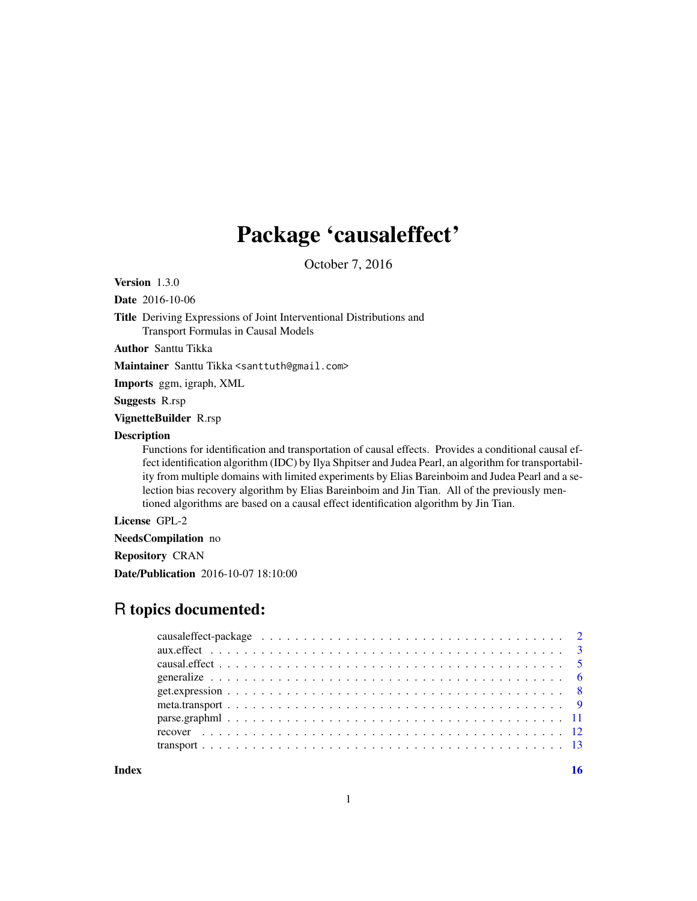## Package 'causaleffect'

October 7, 2016

Version 1.3.0

Date 2016-10-06

Title Deriving Expressions of Joint Interventional Distributions and Transport Formulas in Causal Models

Author Santtu Tikka

Maintainer Santtu Tikka <santtuth@gmail.com>

Imports ggm, igraph, XML

Suggests R.rsp

VignetteBuilder R.rsp

## Description

Functions for identification and transportation of causal effects. Provides a conditional causal effect identification algorithm (IDC) by Ilya Shpitser and Judea Pearl, an algorithm for transportability from multiple domains with limited experiments by Elias Bareinboim and Judea Pearl and a selection bias recovery algorithm by Elias Bareinboim and Jin Tian. All of the previously mentioned algorithms are based on a causal effect identification algorithm by Jin Tian.

License GPL-2

NeedsCompilation no

Repository CRAN

Date/Publication 2016-10-07 18:10:00

## R topics documented:

| get. expression $\ldots \ldots \ldots \ldots \ldots \ldots \ldots \ldots \ldots \ldots \ldots \ldots \ldots$ |  |  |  |  |  |  |  |  |  |  |  |  |  |  |  |  |  |  |
|--------------------------------------------------------------------------------------------------------------|--|--|--|--|--|--|--|--|--|--|--|--|--|--|--|--|--|--|
|                                                                                                              |  |  |  |  |  |  |  |  |  |  |  |  |  |  |  |  |  |  |
|                                                                                                              |  |  |  |  |  |  |  |  |  |  |  |  |  |  |  |  |  |  |
|                                                                                                              |  |  |  |  |  |  |  |  |  |  |  |  |  |  |  |  |  |  |
|                                                                                                              |  |  |  |  |  |  |  |  |  |  |  |  |  |  |  |  |  |  |
|                                                                                                              |  |  |  |  |  |  |  |  |  |  |  |  |  |  |  |  |  |  |

**Index** the contract of the contract of the contract of the contract of the contract of the contract of the contract of the contract of the contract of the contract of the contract of the contract of the contract of the co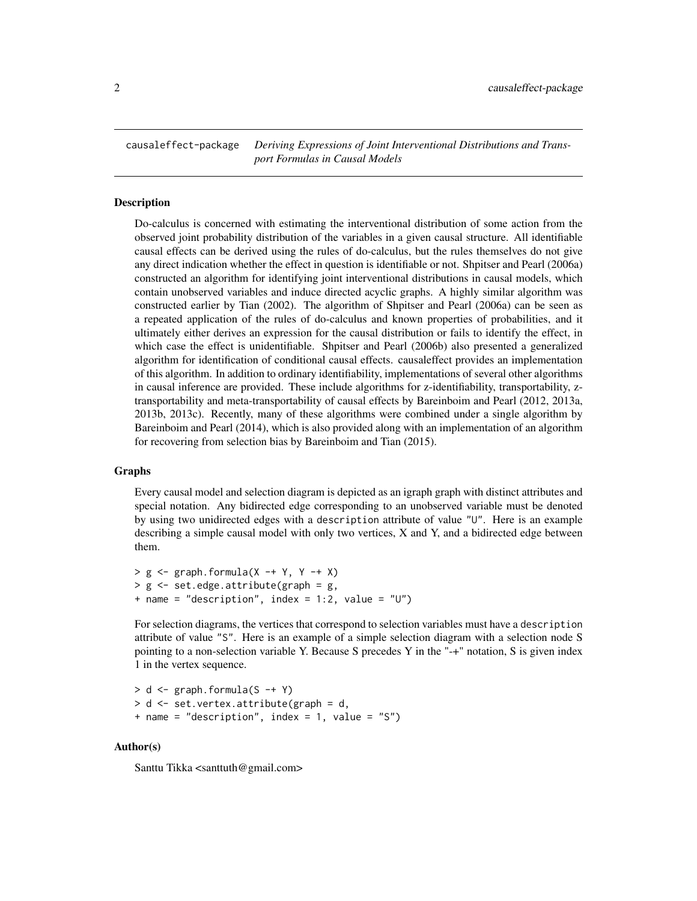<span id="page-1-0"></span>causaleffect-package *Deriving Expressions of Joint Interventional Distributions and Transport Formulas in Causal Models*

## **Description**

Do-calculus is concerned with estimating the interventional distribution of some action from the observed joint probability distribution of the variables in a given causal structure. All identifiable causal effects can be derived using the rules of do-calculus, but the rules themselves do not give any direct indication whether the effect in question is identifiable or not. Shpitser and Pearl (2006a) constructed an algorithm for identifying joint interventional distributions in causal models, which contain unobserved variables and induce directed acyclic graphs. A highly similar algorithm was constructed earlier by Tian (2002). The algorithm of Shpitser and Pearl (2006a) can be seen as a repeated application of the rules of do-calculus and known properties of probabilities, and it ultimately either derives an expression for the causal distribution or fails to identify the effect, in which case the effect is unidentifiable. Shpitser and Pearl (2006b) also presented a generalized algorithm for identification of conditional causal effects. causaleffect provides an implementation of this algorithm. In addition to ordinary identifiability, implementations of several other algorithms in causal inference are provided. These include algorithms for z-identifiability, transportability, ztransportability and meta-transportability of causal effects by Bareinboim and Pearl (2012, 2013a, 2013b, 2013c). Recently, many of these algorithms were combined under a single algorithm by Bareinboim and Pearl (2014), which is also provided along with an implementation of an algorithm for recovering from selection bias by Bareinboim and Tian (2015).

#### Graphs

Every causal model and selection diagram is depicted as an igraph graph with distinct attributes and special notation. Any bidirected edge corresponding to an unobserved variable must be denoted by using two unidirected edges with a description attribute of value "U". Here is an example describing a simple causal model with only two vertices,  $X$  and  $Y$ , and a bidirected edge between them.

```
> g \leq g saph.formula(X -+ Y, Y -+ X)
> g <- set.edge.attribute(graph = g,
+ name = "description", index = 1:2, value = "U")
```
For selection diagrams, the vertices that correspond to selection variables must have a description attribute of value "S". Here is an example of a simple selection diagram with a selection node S pointing to a non-selection variable Y. Because S precedes Y in the "-+" notation, S is given index 1 in the vertex sequence.

```
> d \leq graph.formula(S -+ Y)
> d <- set.vertex.attribute(graph = d,
+ name = "description", index = 1, value = "S")
```
#### Author(s)

Santtu Tikka <santtuth@gmail.com>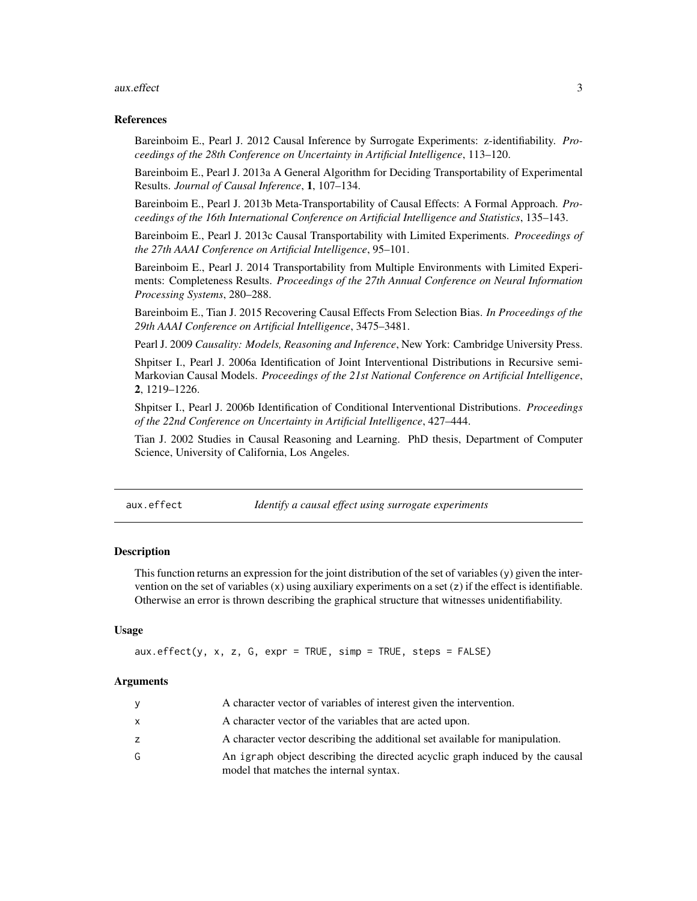## <span id="page-2-0"></span>aux.effect 3

## References

Bareinboim E., Pearl J. 2012 Causal Inference by Surrogate Experiments: z-identifiability. *Proceedings of the 28th Conference on Uncertainty in Artificial Intelligence*, 113–120.

Bareinboim E., Pearl J. 2013a A General Algorithm for Deciding Transportability of Experimental Results. *Journal of Causal Inference*, 1, 107–134.

Bareinboim E., Pearl J. 2013b Meta-Transportability of Causal Effects: A Formal Approach. *Proceedings of the 16th International Conference on Artificial Intelligence and Statistics*, 135–143.

Bareinboim E., Pearl J. 2013c Causal Transportability with Limited Experiments. *Proceedings of the 27th AAAI Conference on Artificial Intelligence*, 95–101.

Bareinboim E., Pearl J. 2014 Transportability from Multiple Environments with Limited Experiments: Completeness Results. *Proceedings of the 27th Annual Conference on Neural Information Processing Systems*, 280–288.

Bareinboim E., Tian J. 2015 Recovering Causal Effects From Selection Bias. *In Proceedings of the 29th AAAI Conference on Artificial Intelligence*, 3475–3481.

Pearl J. 2009 *Causality: Models, Reasoning and Inference*, New York: Cambridge University Press.

Shpitser I., Pearl J. 2006a Identification of Joint Interventional Distributions in Recursive semi-Markovian Causal Models. *Proceedings of the 21st National Conference on Artificial Intelligence*, 2, 1219–1226.

Shpitser I., Pearl J. 2006b Identification of Conditional Interventional Distributions. *Proceedings of the 22nd Conference on Uncertainty in Artificial Intelligence*, 427–444.

Tian J. 2002 Studies in Causal Reasoning and Learning. PhD thesis, Department of Computer Science, University of California, Los Angeles.

<span id="page-2-1"></span>aux.effect *Identify a causal effect using surrogate experiments*

## **Description**

This function returns an expression for the joint distribution of the set of variables  $(y)$  given the intervention on the set of variables  $(x)$  using auxiliary experiments on a set  $(z)$  if the effect is identifiable. Otherwise an error is thrown describing the graphical structure that witnesses unidentifiability.

## Usage

```
aux.effect(y, x, z, G, expr = TRUE, simp = TRUE, steps = FALSE)
```
## Arguments

| y            | A character vector of variables of interest given the intervention.                                                     |
|--------------|-------------------------------------------------------------------------------------------------------------------------|
| $\mathsf{x}$ | A character vector of the variables that are acted upon.                                                                |
| z            | A character vector describing the additional set available for manipulation.                                            |
| G            | An igraph object describing the directed acyclic graph induced by the causal<br>model that matches the internal syntax. |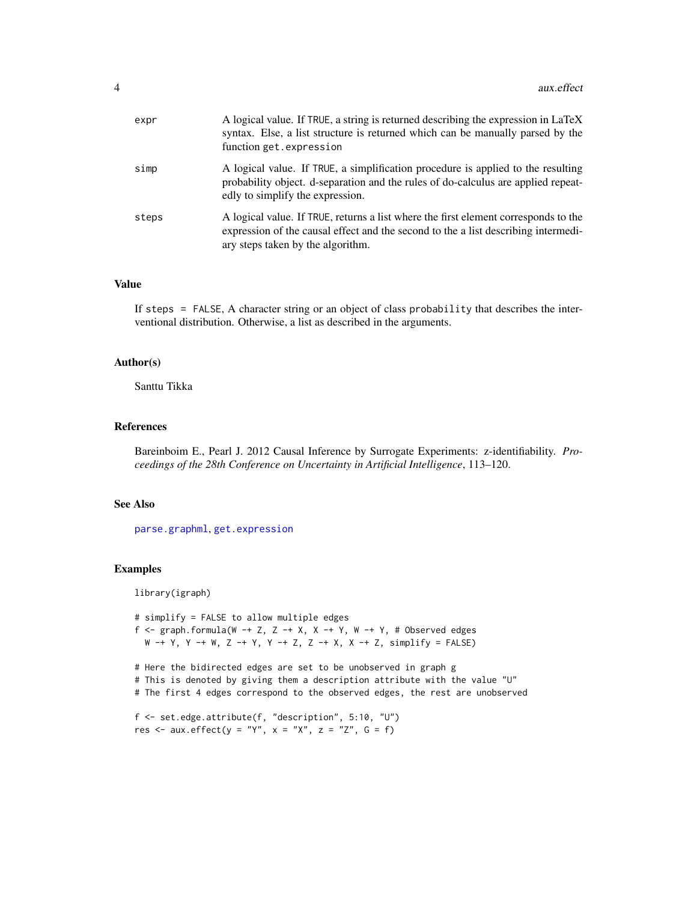<span id="page-3-0"></span>

| expr  | A logical value. If TRUE, a string is returned describing the expression in LaTeX<br>syntax. Else, a list structure is returned which can be manually parsed by the<br>function get.expression                 |
|-------|----------------------------------------------------------------------------------------------------------------------------------------------------------------------------------------------------------------|
| simp  | A logical value. If TRUE, a simplification procedure is applied to the resulting<br>probability object. d-separation and the rules of do-calculus are applied repeat-<br>edly to simplify the expression.      |
| steps | A logical value. If TRUE, returns a list where the first element corresponds to the<br>expression of the causal effect and the second to the a list describing intermedi-<br>ary steps taken by the algorithm. |

## Value

If steps = FALSE, A character string or an object of class probability that describes the interventional distribution. Otherwise, a list as described in the arguments.

## Author(s)

Santtu Tikka

## References

Bareinboim E., Pearl J. 2012 Causal Inference by Surrogate Experiments: z-identifiability. *Proceedings of the 28th Conference on Uncertainty in Artificial Intelligence*, 113–120.

## See Also

[parse.graphml](#page-10-1), [get.expression](#page-7-1)

## Examples

library(igraph)

# simplify = FALSE to allow multiple edges f  $\leq$  graph.formula(W -+ Z, Z -+ X, X -+ Y, W -+ Y, # Observed edges  $W -+ Y$ ,  $Y -+ W$ ,  $Z -+ Y$ ,  $Y -+ Z$ ,  $Z -+ X$ ,  $X -+ Z$ , simplify = FALSE)

# Here the bidirected edges are set to be unobserved in graph g # This is denoted by giving them a description attribute with the value "U"

# The first 4 edges correspond to the observed edges, the rest are unobserved

```
f <- set.edge.attribute(f, "description", 5:10, "U")
res \le aux.effect(y = "Y", x = "X", z = "Z", G = f)
```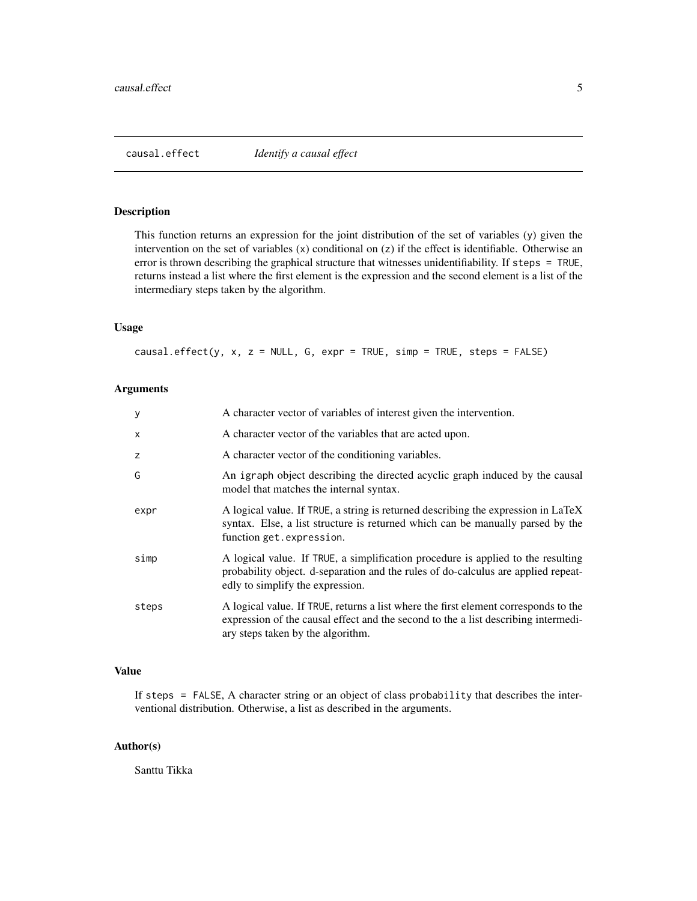<span id="page-4-1"></span><span id="page-4-0"></span>

## Description

This function returns an expression for the joint distribution of the set of variables (y) given the intervention on the set of variables (x) conditional on (z) if the effect is identifiable. Otherwise an error is thrown describing the graphical structure that witnesses unidentifiability. If steps = TRUE, returns instead a list where the first element is the expression and the second element is a list of the intermediary steps taken by the algorithm.

## Usage

causal.effect(y, x, z = NULL, G, expr = TRUE, simp = TRUE, steps = FALSE)

## Arguments

| у     | A character vector of variables of interest given the intervention.                                                                                                                                            |
|-------|----------------------------------------------------------------------------------------------------------------------------------------------------------------------------------------------------------------|
| X     | A character vector of the variables that are acted upon.                                                                                                                                                       |
| z     | A character vector of the conditioning variables.                                                                                                                                                              |
| G     | An igraph object describing the directed acyclic graph induced by the causal<br>model that matches the internal syntax.                                                                                        |
| expr  | A logical value. If TRUE, a string is returned describing the expression in LaTeX<br>syntax. Else, a list structure is returned which can be manually parsed by the<br>function get.expression.                |
| simp  | A logical value. If TRUE, a simplification procedure is applied to the resulting<br>probability object. d-separation and the rules of do-calculus are applied repeat-<br>edly to simplify the expression.      |
| steps | A logical value. If TRUE, returns a list where the first element corresponds to the<br>expression of the causal effect and the second to the a list describing intermedi-<br>ary steps taken by the algorithm. |

## Value

If steps = FALSE, A character string or an object of class probability that describes the interventional distribution. Otherwise, a list as described in the arguments.

## Author(s)

Santtu Tikka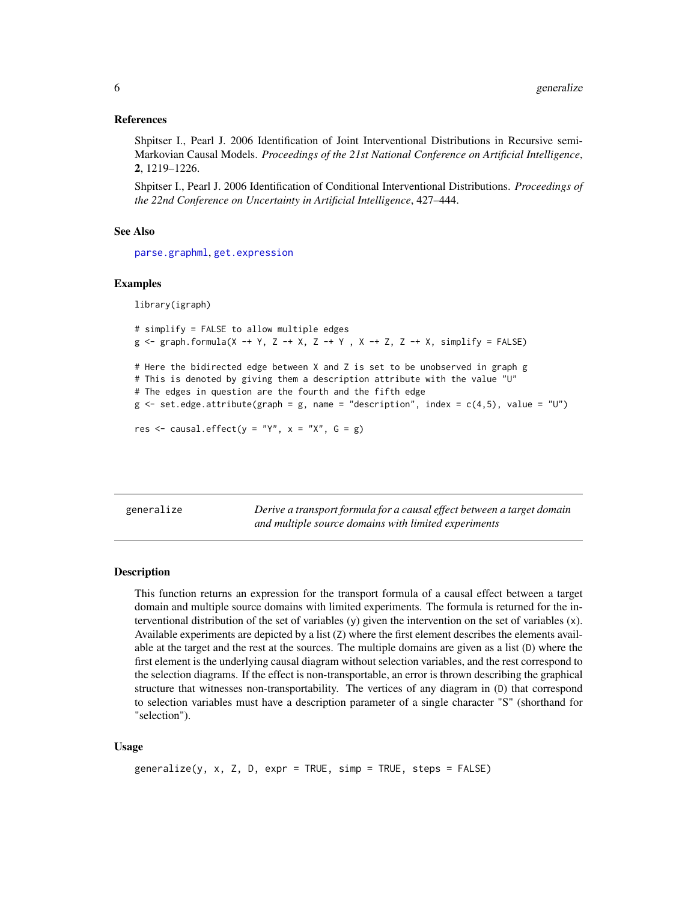## <span id="page-5-0"></span>References

Shpitser I., Pearl J. 2006 Identification of Joint Interventional Distributions in Recursive semi-Markovian Causal Models. *Proceedings of the 21st National Conference on Artificial Intelligence*, 2, 1219–1226.

Shpitser I., Pearl J. 2006 Identification of Conditional Interventional Distributions. *Proceedings of the 22nd Conference on Uncertainty in Artificial Intelligence*, 427–444.

## See Also

[parse.graphml](#page-10-1), [get.expression](#page-7-1)

#### Examples

library(igraph)

```
# simplify = FALSE to allow multiple edges
g \leq-g raph.formula(X -+ Y, Z -+ X, Z -+ Y, X -+ Z, Z -+ X, simplify = FALSE)
# Here the bidirected edge between X and Z is set to be unobserved in graph g
# This is denoted by giving them a description attribute with the value "U"
# The edges in question are the fourth and the fifth edge
g \le -set{\text{.edge}}.attribute(graph = g, name = "description", index = c(4,5), value = "U")
res \le causal.effect(y = "Y", x = "X", G = g)
```
<span id="page-5-1"></span>generalize *Derive a transport formula for a causal effect between a target domain and multiple source domains with limited experiments*

## Description

This function returns an expression for the transport formula of a causal effect between a target domain and multiple source domains with limited experiments. The formula is returned for the interventional distribution of the set of variables (y) given the intervention on the set of variables (x). Available experiments are depicted by a list (Z) where the first element describes the elements available at the target and the rest at the sources. The multiple domains are given as a list (D) where the first element is the underlying causal diagram without selection variables, and the rest correspond to the selection diagrams. If the effect is non-transportable, an error is thrown describing the graphical structure that witnesses non-transportability. The vertices of any diagram in (D) that correspond to selection variables must have a description parameter of a single character "S" (shorthand for "selection").

#### Usage

```
generalize(y, x, Z, D, expr = TRUE, simp = TRUE, steps = FALSE)
```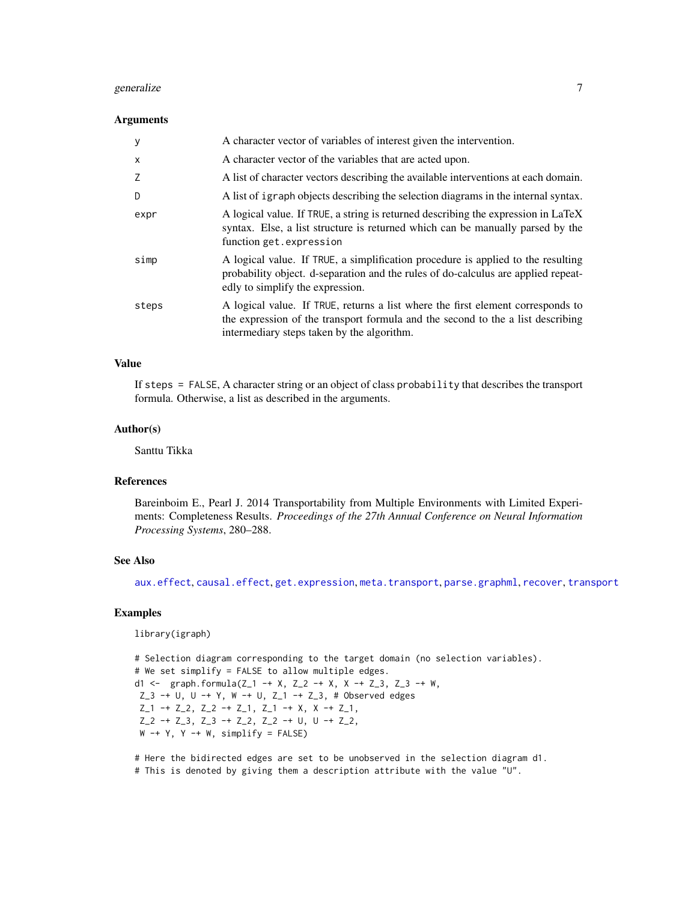## <span id="page-6-0"></span>generalize **7**

## Arguments

| y        | A character vector of variables of interest given the intervention.                                                                                                                                              |
|----------|------------------------------------------------------------------------------------------------------------------------------------------------------------------------------------------------------------------|
| $\times$ | A character vector of the variables that are acted upon.                                                                                                                                                         |
| Z        | A list of character vectors describing the available interventions at each domain.                                                                                                                               |
| D        | A list of igraph objects describing the selection diagrams in the internal syntax.                                                                                                                               |
| expr     | A logical value. If TRUE, a string is returned describing the expression in LaTeX<br>syntax. Else, a list structure is returned which can be manually parsed by the<br>function get.expression                   |
| simp     | A logical value. If TRUE, a simplification procedure is applied to the resulting<br>probability object. d-separation and the rules of do-calculus are applied repeat-<br>edly to simplify the expression.        |
| steps    | A logical value. If TRUE, returns a list where the first element corresponds to<br>the expression of the transport formula and the second to the a list describing<br>intermediary steps taken by the algorithm. |

## Value

If steps = FALSE, A character string or an object of class probability that describes the transport formula. Otherwise, a list as described in the arguments.

## Author(s)

Santtu Tikka

## References

Bareinboim E., Pearl J. 2014 Transportability from Multiple Environments with Limited Experiments: Completeness Results. *Proceedings of the 27th Annual Conference on Neural Information Processing Systems*, 280–288.

## See Also

[aux.effect](#page-2-1), [causal.effect](#page-4-1), [get.expression](#page-7-1), [meta.transport](#page-8-1), [parse.graphml](#page-10-1), [recover](#page-11-1), [transport](#page-12-1)

## Examples

library(igraph)

# Selection diagram corresponding to the target domain (no selection variables). # We set simplify = FALSE to allow multiple edges. d1 <- graph.formula( $Z_1$  -+ X,  $Z_2$  -+ X, X -+  $Z_3$ ,  $Z_3$  -+ W,  $Z_3$  -+ U, U -+ Y, W -+ U, Z<sub>1</sub> -+ Z<sub>-3</sub>, # Observed edges  $Z_1$  -+  $Z_2$ ,  $Z_2$  -+  $Z_1$ ,  $Z_1$  -+  $X$ ,  $X$  -+  $Z_1$ , Z\_2 -+ Z\_3, Z\_3 -+ Z\_2, Z\_2 -+ U, U -+ Z\_2,  $W -+ Y$ ,  $Y -+ W$ , simplify = FALSE)

# Here the bidirected edges are set to be unobserved in the selection diagram d1. # This is denoted by giving them a description attribute with the value "U".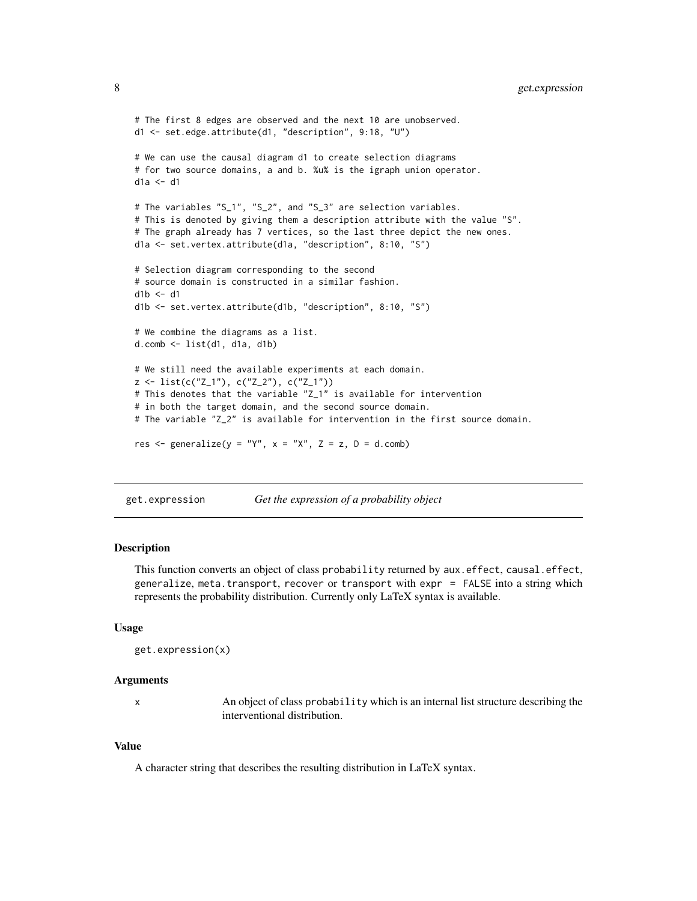```
# The first 8 edges are observed and the next 10 are unobserved.
d1 <- set.edge.attribute(d1, "description", 9:18, "U")
# We can use the causal diagram d1 to create selection diagrams
# for two source domains, a and b. %u% is the igraph union operator.
dh \rightarrow h# The variables "S_1", "S_2", and "S_3" are selection variables.
# This is denoted by giving them a description attribute with the value "S".
# The graph already has 7 vertices, so the last three depict the new ones.
d1a <- set.vertex.attribute(d1a, "description", 8:10, "S")
# Selection diagram corresponding to the second
# source domain is constructed in a similar fashion.
db \leftarrow d1d1b <- set.vertex.attribute(d1b, "description", 8:10, "S")
# We combine the diagrams as a list.
d.comb <- list(d1, d1a, d1b)
# We still need the available experiments at each domain.
z \le list(c("Z_1"), c("Z_2"), c("Z_1"))
# This denotes that the variable "Z_1" is available for intervention
# in both the target domain, and the second source domain.
# The variable "Z_2" is available for intervention in the first source domain.
res \leq generalize(y = "Y", x = "X", Z = z, D = d.comb)
```
<span id="page-7-1"></span>get.expression *Get the expression of a probability object*

## Description

This function converts an object of class probability returned by aux.effect, causal.effect, generalize, meta.transport, recover or transport with expr = FALSE into a string which represents the probability distribution. Currently only LaTeX syntax is available.

#### Usage

```
get.expression(x)
```
#### Arguments

x An object of class probability which is an internal list structure describing the interventional distribution.

## Value

A character string that describes the resulting distribution in LaTeX syntax.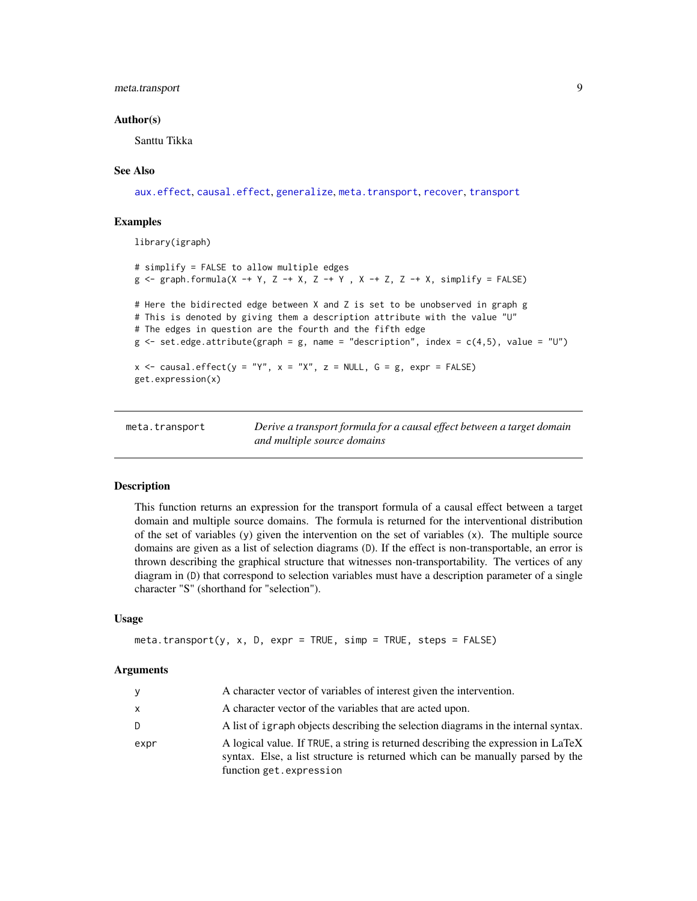## <span id="page-8-0"></span>meta.transport 9

## Author(s)

Santtu Tikka

## See Also

[aux.effect](#page-2-1), [causal.effect](#page-4-1), [generalize](#page-5-1), [meta.transport](#page-8-1), [recover](#page-11-1), [transport](#page-12-1)

## Examples

library(igraph)

```
# simplify = FALSE to allow multiple edges
g \leq g raph.formula(X -+ Y, Z -+ X, Z -+ Y , X -+ Z, Z -+ X, simplify = FALSE)
# Here the bidirected edge between X and Z is set to be unobserved in graph g
# This is denoted by giving them a description attribute with the value "U"
# The edges in question are the fourth and the fifth edge
g \le -set.edge.attribute(graph = g, name = "description", index = c(4,5), value = "U")
x \leq -c causal.effect(y = "Y", x = "X", z = NULL, G = g, expr = FALSE)get.expression(x)
```
<span id="page-8-1"></span>meta.transport *Derive a transport formula for a causal effect between a target domain and multiple source domains*

## Description

This function returns an expression for the transport formula of a causal effect between a target domain and multiple source domains. The formula is returned for the interventional distribution of the set of variables  $(y)$  given the intervention on the set of variables  $(x)$ . The multiple source domains are given as a list of selection diagrams (D). If the effect is non-transportable, an error is thrown describing the graphical structure that witnesses non-transportability. The vertices of any diagram in (D) that correspond to selection variables must have a description parameter of a single character "S" (shorthand for "selection").

## Usage

```
meta.transpose(y, x, D, expr = TRUE, simp = TRUE, steps = FALSE)
```
#### Arguments

| V    | A character vector of variables of interest given the intervention.                                                                                                                            |
|------|------------------------------------------------------------------------------------------------------------------------------------------------------------------------------------------------|
| x    | A character vector of the variables that are acted upon.                                                                                                                                       |
| D.   | A list of igraph objects describing the selection diagrams in the internal syntax.                                                                                                             |
| expr | A logical value. If TRUE, a string is returned describing the expression in LaTeX<br>syntax. Else, a list structure is returned which can be manually parsed by the<br>function get.expression |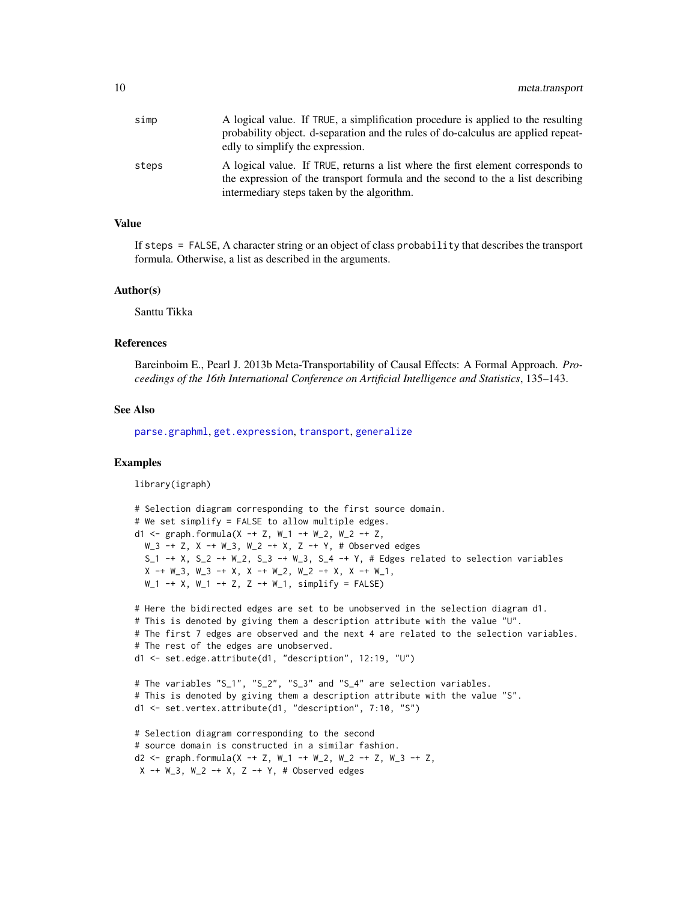<span id="page-9-0"></span>

| simp  | A logical value. If TRUE, a simplification procedure is applied to the resulting<br>probability object. d-separation and the rules of do-calculus are applied repeat-<br>edly to simplify the expression.        |
|-------|------------------------------------------------------------------------------------------------------------------------------------------------------------------------------------------------------------------|
| steps | A logical value. If TRUE, returns a list where the first element corresponds to<br>the expression of the transport formula and the second to the a list describing<br>intermediary steps taken by the algorithm. |

## Value

If steps = FALSE, A character string or an object of class probability that describes the transport formula. Otherwise, a list as described in the arguments.

#### Author(s)

Santtu Tikka

## References

Bareinboim E., Pearl J. 2013b Meta-Transportability of Causal Effects: A Formal Approach. *Proceedings of the 16th International Conference on Artificial Intelligence and Statistics*, 135–143.

#### See Also

[parse.graphml](#page-10-1), [get.expression](#page-7-1), [transport](#page-12-1), [generalize](#page-5-1)

## Examples

library(igraph)

```
# Selection diagram corresponding to the first source domain.
# We set simplify = FALSE to allow multiple edges.
d1 <- graph.formula(X -+ Z, W_1 -+ W_2, W_2 -+ Z,
 W_3 -+ Z, X -+ W_3, W_2 -+ X, Z -+ Y, # Observed edges
 S_1 -+ X, S_2 -+ W_2, S_3 -+ W_3, S_4 -+ Y, # Edges related to selection variables
 X \rightarrow W_3, W_3 \rightarrow X, X \rightarrow W_2, W_2 \rightarrow X, X \rightarrow W_1,
 W_1 -+ X, W_1 -+ Z, Z -+ W_1, simplify = FALSE)
# Here the bidirected edges are set to be unobserved in the selection diagram d1.
# This is denoted by giving them a description attribute with the value "U".
# The first 7 edges are observed and the next 4 are related to the selection variables.
# The rest of the edges are unobserved.
d1 <- set.edge.attribute(d1, "description", 12:19, "U")
# The variables "S_1", "S_2", "S_3" and "S_4" are selection variables.
# This is denoted by giving them a description attribute with the value "S".
d1 <- set.vertex.attribute(d1, "description", 7:10, "S")
# Selection diagram corresponding to the second
# source domain is constructed in a similar fashion.
d2 <- graph.formula(X -+ Z, W_1 -+ W_2, W_2 -+ Z, W_3 -+ Z,
X -+ W_3, W_2 -+ X, Z -+ Y, # Observed edges
```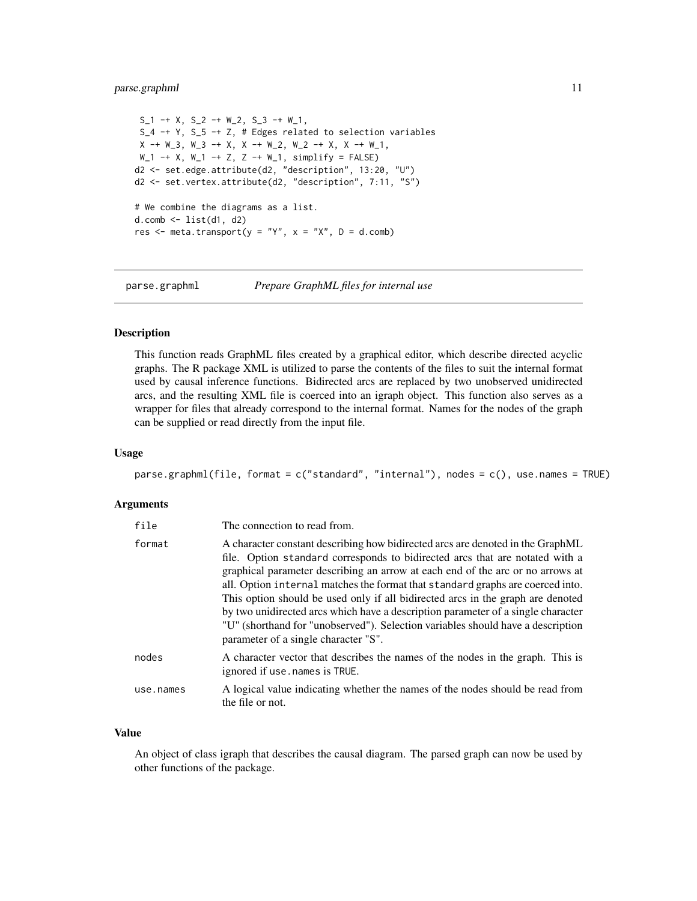## <span id="page-10-0"></span>parse.graphml 11

```
S_1 -+ X, S_2 -+ W<sub>-</sub>2, S_3 -+ W<sub>-</sub>1,
S_4 -+ Y, S_5 -+ Z, # Edges related to selection variables
X \rightarrow W_3, W_3 \rightarrow X, X \rightarrow W_2, W_2 \rightarrow X, X \rightarrow W_1,W_1 -+ X, W_1 -+ Z, Z -+ W_1, simplify = FALSE)
d2 <- set.edge.attribute(d2, "description", 13:20, "U")
d2 <- set.vertex.attribute(d2, "description", 7:11, "S")
# We combine the diagrams as a list.
d.comb \leftarrow list(d1, d2)res \leq meta.transport(y = "Y", x = "X", D = d.comb)
```
<span id="page-10-1"></span>parse.graphml *Prepare GraphML files for internal use*

## **Description**

This function reads GraphML files created by a graphical editor, which describe directed acyclic graphs. The R package XML is utilized to parse the contents of the files to suit the internal format used by causal inference functions. Bidirected arcs are replaced by two unobserved unidirected arcs, and the resulting XML file is coerced into an igraph object. This function also serves as a wrapper for files that already correspond to the internal format. Names for the nodes of the graph can be supplied or read directly from the input file.

#### Usage

parse.graphml(file, format = c("standard", "internal"), nodes = c(), use.names = TRUE)

#### Arguments

| file      | The connection to read from.                                                                                                                                                                                                                                                                                                                                                                                                                                                                                                                                                                                                         |
|-----------|--------------------------------------------------------------------------------------------------------------------------------------------------------------------------------------------------------------------------------------------------------------------------------------------------------------------------------------------------------------------------------------------------------------------------------------------------------------------------------------------------------------------------------------------------------------------------------------------------------------------------------------|
| format    | A character constant describing how bidirected arcs are denoted in the GraphML<br>file. Option standard corresponds to bidirected arcs that are notated with a<br>graphical parameter describing an arrow at each end of the arc or no arrows at<br>all. Option internal matches the format that standard graphs are coerced into.<br>This option should be used only if all bidirected arcs in the graph are denoted<br>by two unidirected arcs which have a description parameter of a single character<br>"U" (shorthand for "unobserved"). Selection variables should have a description<br>parameter of a single character "S". |
| nodes     | A character vector that describes the names of the nodes in the graph. This is<br>ignored if use, names is TRUE.                                                                                                                                                                                                                                                                                                                                                                                                                                                                                                                     |
| use.names | A logical value indicating whether the names of the nodes should be read from<br>the file or not.                                                                                                                                                                                                                                                                                                                                                                                                                                                                                                                                    |

## Value

An object of class igraph that describes the causal diagram. The parsed graph can now be used by other functions of the package.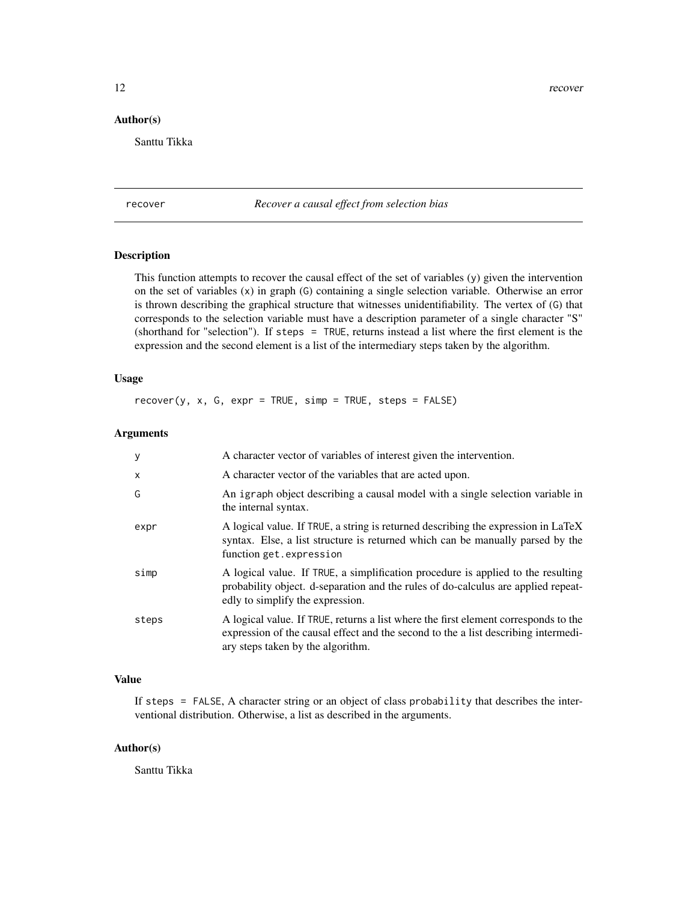<span id="page-11-0"></span>12 recover

## Author(s)

Santtu Tikka

<span id="page-11-1"></span>recover *Recover a causal effect from selection bias*

## Description

This function attempts to recover the causal effect of the set of variables (y) given the intervention on the set of variables (x) in graph (G) containing a single selection variable. Otherwise an error is thrown describing the graphical structure that witnesses unidentifiability. The vertex of (G) that corresponds to the selection variable must have a description parameter of a single character "S" (shorthand for "selection"). If steps = TRUE, returns instead a list where the first element is the expression and the second element is a list of the intermediary steps taken by the algorithm.

## Usage

 $recover(y, x, G, expr = TRUE, simp = TRUE, steps = FALSE)$ 

## Arguments

| y                         | A character vector of variables of interest given the intervention.                                                                                                                                            |
|---------------------------|----------------------------------------------------------------------------------------------------------------------------------------------------------------------------------------------------------------|
| $\boldsymbol{\mathsf{x}}$ | A character vector of the variables that are acted upon.                                                                                                                                                       |
| G                         | An igraph object describing a causal model with a single selection variable in<br>the internal syntax.                                                                                                         |
| expr                      | A logical value. If TRUE, a string is returned describing the expression in LaTeX<br>syntax. Else, a list structure is returned which can be manually parsed by the<br>function get.expression                 |
| simp                      | A logical value. If TRUE, a simplification procedure is applied to the resulting<br>probability object. d-separation and the rules of do-calculus are applied repeat-<br>edly to simplify the expression.      |
| steps                     | A logical value. If TRUE, returns a list where the first element corresponds to the<br>expression of the causal effect and the second to the a list describing intermedi-<br>ary steps taken by the algorithm. |

## Value

If steps = FALSE, A character string or an object of class probability that describes the interventional distribution. Otherwise, a list as described in the arguments.

#### Author(s)

Santtu Tikka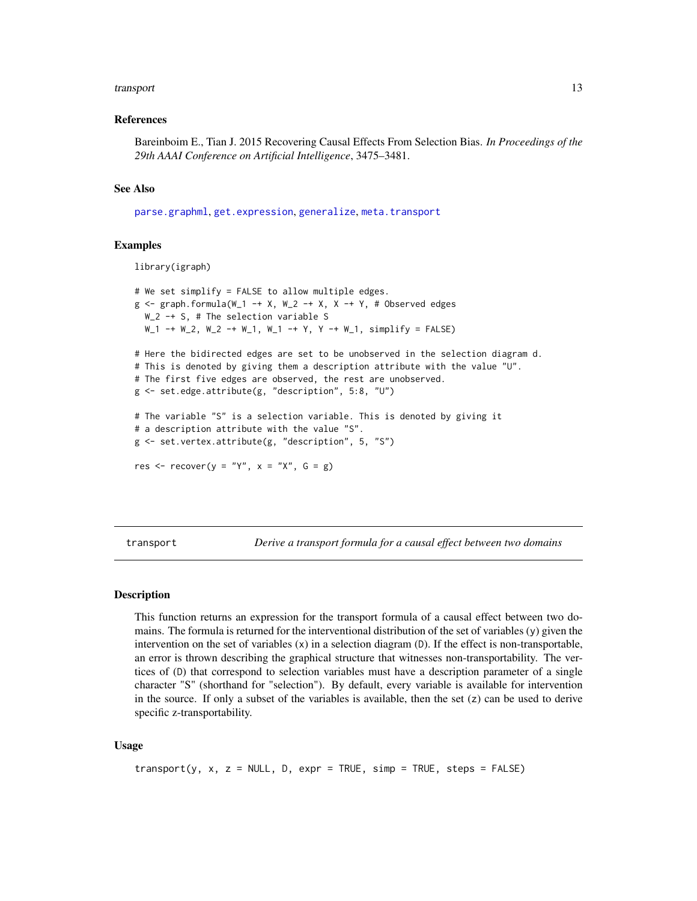## <span id="page-12-0"></span>transport that the contract of the contract of the contract of the contract of the contract of the contract of the contract of the contract of the contract of the contract of the contract of the contract of the contract of

## References

Bareinboim E., Tian J. 2015 Recovering Causal Effects From Selection Bias. *In Proceedings of the 29th AAAI Conference on Artificial Intelligence*, 3475–3481.

#### See Also

[parse.graphml](#page-10-1), [get.expression](#page-7-1), [generalize](#page-5-1), [meta.transport](#page-8-1)

## Examples

```
library(igraph)
```

```
# We set simplify = FALSE to allow multiple edges.
g \leq - graph.formula(W_1 -+ X, W_2 -+ X, X -+ Y, # Observed edges
 W_2 -+ S, # The selection variable S
 W_1 -+ W_2, W_2 -+ W_1, W_1 -+ Y, Y -+ W_1, simplify = FALSE)
# Here the bidirected edges are set to be unobserved in the selection diagram d.
# This is denoted by giving them a description attribute with the value "U".
# The first five edges are observed, the rest are unobserved.
g <- set.edge.attribute(g, "description", 5:8, "U")
# The variable "S" is a selection variable. This is denoted by giving it
# a description attribute with the value "S".
g <- set.vertex.attribute(g, "description", 5, "S")
res \leq recover(y = "Y", x = "X", G = g)
```
<span id="page-12-1"></span>transport *Derive a transport formula for a causal effect between two domains*

## Description

This function returns an expression for the transport formula of a causal effect between two domains. The formula is returned for the interventional distribution of the set of variables (y) given the intervention on the set of variables  $(x)$  in a selection diagram  $(D)$ . If the effect is non-transportable, an error is thrown describing the graphical structure that witnesses non-transportability. The vertices of (D) that correspond to selection variables must have a description parameter of a single character "S" (shorthand for "selection"). By default, every variable is available for intervention in the source. If only a subset of the variables is available, then the set  $(z)$  can be used to derive specific z-transportability.

## Usage

```
transport(y, x, z = NULL, D, expr = TRUE, simp = TRUE, steps = FALSE)
```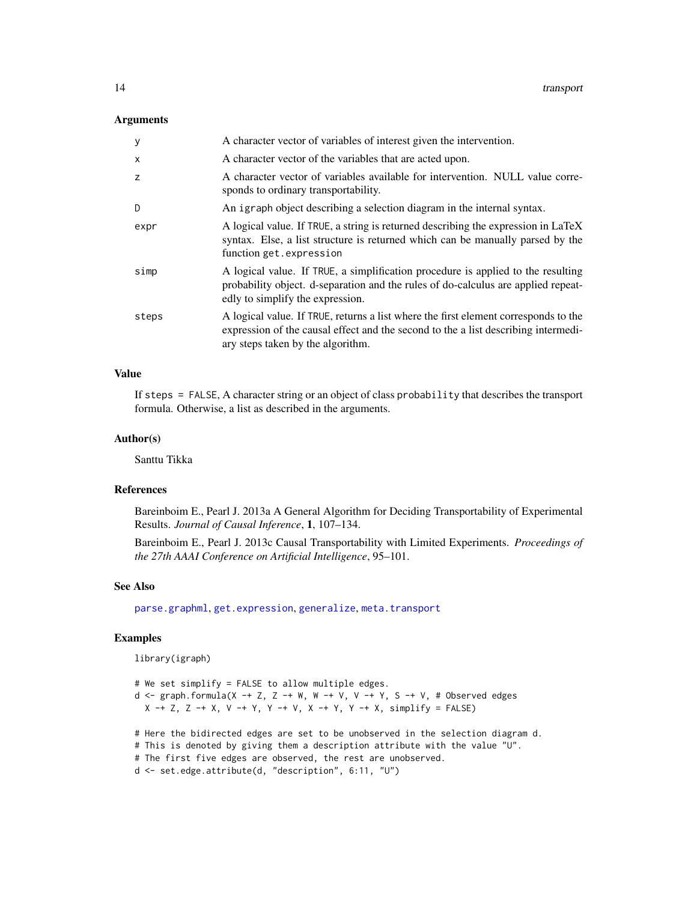## <span id="page-13-0"></span>Arguments

| y            | A character vector of variables of interest given the intervention.                                                                                                                                            |
|--------------|----------------------------------------------------------------------------------------------------------------------------------------------------------------------------------------------------------------|
| $\mathsf{x}$ | A character vector of the variables that are acted upon.                                                                                                                                                       |
| z            | A character vector of variables available for intervention. NULL value corre-<br>sponds to ordinary transportability.                                                                                          |
| D            | An igraph object describing a selection diagram in the internal syntax.                                                                                                                                        |
| expr         | A logical value. If TRUE, a string is returned describing the expression in LaTeX<br>syntax. Else, a list structure is returned which can be manually parsed by the<br>function get.expression                 |
| simp         | A logical value. If TRUE, a simplification procedure is applied to the resulting<br>probability object. d-separation and the rules of do-calculus are applied repeat-<br>edly to simplify the expression.      |
| steps        | A logical value. If TRUE, returns a list where the first element corresponds to the<br>expression of the causal effect and the second to the a list describing intermedi-<br>ary steps taken by the algorithm. |

## Value

If steps = FALSE, A character string or an object of class probability that describes the transport formula. Otherwise, a list as described in the arguments.

## Author(s)

Santtu Tikka

## References

Bareinboim E., Pearl J. 2013a A General Algorithm for Deciding Transportability of Experimental Results. *Journal of Causal Inference*, 1, 107–134.

Bareinboim E., Pearl J. 2013c Causal Transportability with Limited Experiments. *Proceedings of the 27th AAAI Conference on Artificial Intelligence*, 95–101.

## See Also

[parse.graphml](#page-10-1), [get.expression](#page-7-1), [generalize](#page-5-1), [meta.transport](#page-8-1)

## Examples

library(igraph)

```
# We set simplify = FALSE to allow multiple edges.
d <- graph.formula(X -+ Z, Z -+ W, W -+ V, V -+ Y, S -+ V, # Observed edges
  X \rightarrow Z, Z \rightarrow X, V \rightarrow Y, Y \rightarrow V, X \rightarrow Y, Y \rightarrow X, simplify = FALSE)
# Here the bidirected edges are set to be unobserved in the selection diagram d.
# This is denoted by giving them a description attribute with the value "U".
# The first five edges are observed, the rest are unobserved.
d <- set.edge.attribute(d, "description", 6:11, "U")
```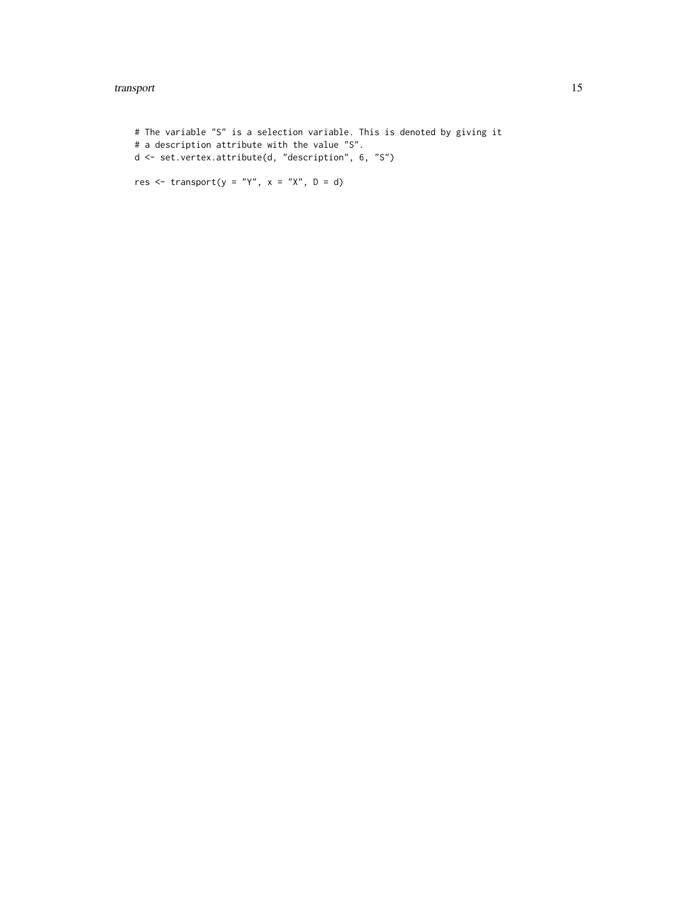## transport that the contract of the contract of the contract of the contract of the contract of the contract of the contract of the contract of the contract of the contract of the contract of the contract of the contract of

```
# The variable "S" is a selection variable. This is denoted by giving it
# a description attribute with the value "S".
d <- set.vertex.attribute(d, "description", 6, "S")
```
res  $\leq$  transport(y = "Y", x = "X", D = d)